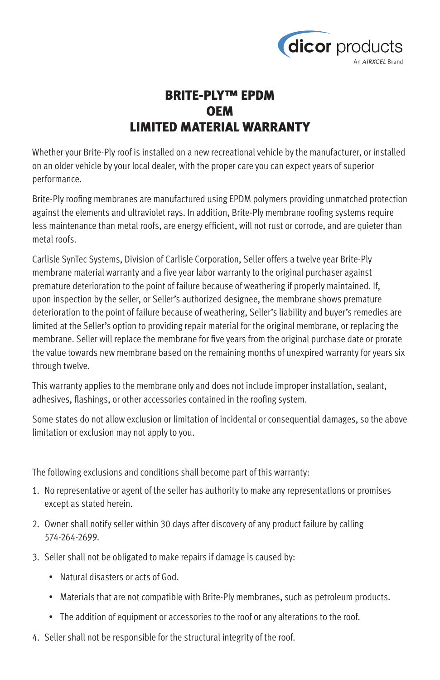

## BRITE-PLY™ EPDM **OEM** LIMITED MATERIAL WARRANTY

Whether your Brite-Ply roof is installed on a new recreational vehicle by the manufacturer, or installed on an older vehicle by your local dealer, with the proper care you can expect years of superior performance.

Brite-Ply roofing membranes are manufactured using EPDM polymers providing unmatched protection against the elements and ultraviolet rays. In addition, Brite-Ply membrane roofing systems require less maintenance than metal roofs, are energy efficient, will not rust or corrode, and are quieter than metal roofs.

Carlisle SynTec Systems, Division of Carlisle Corporation, Seller offers a twelve year Brite-Ply membrane material warranty and a five year labor warranty to the original purchaser against premature deterioration to the point of failure because of weathering if properly maintained. If, upon inspection by the seller, or Seller's authorized designee, the membrane shows premature deterioration to the point of failure because of weathering, Seller's liability and buyer's remedies are limited at the Seller's option to providing repair material for the original membrane, or replacing the membrane. Seller will replace the membrane for five years from the original purchase date or prorate the value towards new membrane based on the remaining months of unexpired warranty for years six through twelve.

This warranty applies to the membrane only and does not include improper installation, sealant, adhesives, flashings, or other accessories contained in the roofing system.

Some states do not allow exclusion or limitation of incidental or consequential damages, so the above limitation or exclusion may not apply to you.

The following exclusions and conditions shall become part of this warranty:

- 1. No representative or agent of the seller has authority to make any representations or promises except as stated herein.
- 2. Owner shall notify seller within 30 days after discovery of any product failure by calling 574-264-2699.
- 3. Seller shall not be obligated to make repairs if damage is caused by:
	- Natural disasters or acts of God.
	- Materials that are not compatible with Brite-Ply membranes, such as petroleum products.
	- The addition of equipment or accessories to the roof or any alterations to the roof.
- 4. Seller shall not be responsible for the structural integrity of the roof.